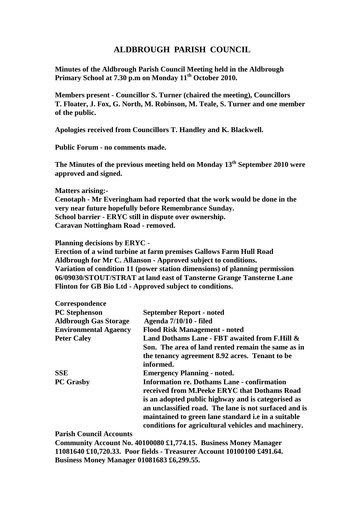## **ALDBROUGH PARISH COUNCIL**

**Minutes of the Aldbrough Parish Council Meeting held in the Aldbrough Primary School at 7.30 p.m on Monday 11th October 2010.**

**Members present - Councillor S. Turner (chaired the meeting), Councillors T. Floater, J. Fox, G. North, M. Robinson, M. Teale, S. Turner and one member of the public.**

**Apologies received from Councillors T. Handley and K. Blackwell.**

**Public Forum - no comments made.**

**The Minutes of the previous meeting held on Monday 13th September 2010 were approved and signed.**

**Matters arising:-**

**Cenotaph - Mr Everingham had reported that the work would be done in the very near future hopefully before Remembrance Sunday. School barrier - ERYC still in dispute over ownership. Caravan Nottingham Road - removed.**

**Planning decisions by ERYC -**

**Erection of a wind turbine at farm premises Gallows Farm Hull Road Aldbrough for Mr C. Allanson - Approved subject to conditions. Variation of condition 11 (power station dimensions) of planning permission 06/09030/STOUT/STRAT at land east of Tansterne Grange Tansterne Lane Flinton for GB Bio Ltd - Approved subject to conditions.**

| Correspondence               |                                                            |
|------------------------------|------------------------------------------------------------|
| <b>PC</b> Stephenson         | <b>September Report - noted</b>                            |
| <b>Aldbrough Gas Storage</b> | Agenda 7/10/10 - filed                                     |
| <b>Environmental Agaency</b> | <b>Flood Risk Management - noted</b>                       |
| <b>Peter Caley</b>           | Land Dothams Lane - FBT awaited from F.Hill &              |
|                              | Son. The area of land rented remain the same as in         |
|                              | the tenancy agreement 8.92 acres. Tenant to be             |
|                              | informed.                                                  |
| <b>SSE</b>                   | <b>Emergency Planning - noted.</b>                         |
| <b>PC Grasby</b>             | <b>Information re. Dothams Lane - confirmation</b>         |
|                              | received from M.Peeke ERYC that Dothams Road               |
|                              | is an adopted public highway and is categorised as         |
|                              | an unclassified road. The lane is not surfaced and is      |
|                              | maintained to green lane standard <i>i.e in a suitable</i> |
|                              | conditions for agricultural vehicles and machinery.        |

**Parish Council Accounts**

**Community Account No. 40100080 £1,774.15. Business Money Manager 11081640 £10,720.33. Poor fields - Treasurer Account 10100100 £491.64. Business Money Manager 01081683 £6,299.55.**